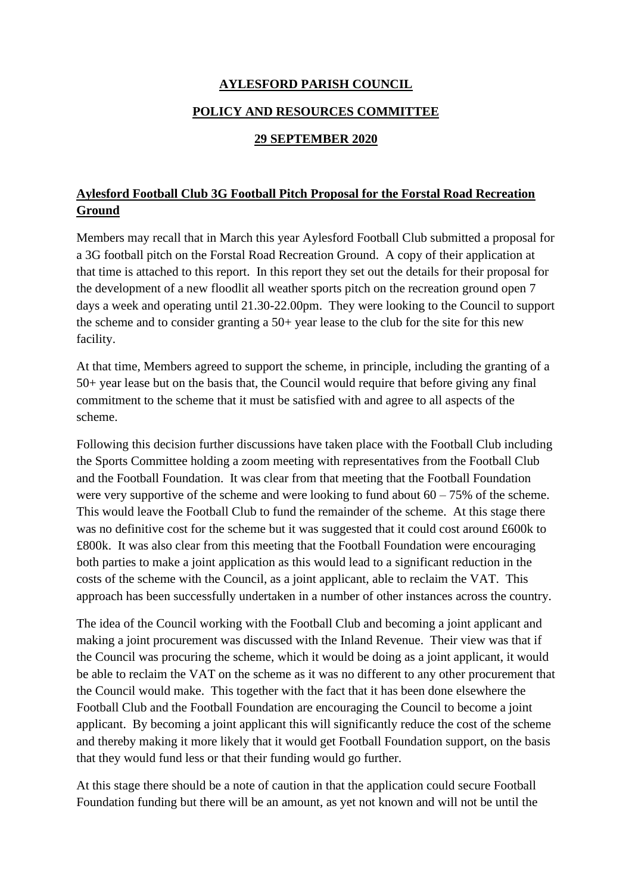## **AYLESFORD PARISH COUNCIL**

## **POLICY AND RESOURCES COMMITTEE**

## **29 SEPTEMBER 2020**

## **Aylesford Football Club 3G Football Pitch Proposal for the Forstal Road Recreation Ground**

Members may recall that in March this year Aylesford Football Club submitted a proposal for a 3G football pitch on the Forstal Road Recreation Ground. A copy of their application at that time is attached to this report. In this report they set out the details for their proposal for the development of a new floodlit all weather sports pitch on the recreation ground open 7 days a week and operating until 21.30-22.00pm. They were looking to the Council to support the scheme and to consider granting a 50+ year lease to the club for the site for this new facility.

At that time, Members agreed to support the scheme, in principle, including the granting of a 50+ year lease but on the basis that, the Council would require that before giving any final commitment to the scheme that it must be satisfied with and agree to all aspects of the scheme.

Following this decision further discussions have taken place with the Football Club including the Sports Committee holding a zoom meeting with representatives from the Football Club and the Football Foundation. It was clear from that meeting that the Football Foundation were very supportive of the scheme and were looking to fund about  $60 - 75\%$  of the scheme. This would leave the Football Club to fund the remainder of the scheme. At this stage there was no definitive cost for the scheme but it was suggested that it could cost around £600k to £800k. It was also clear from this meeting that the Football Foundation were encouraging both parties to make a joint application as this would lead to a significant reduction in the costs of the scheme with the Council, as a joint applicant, able to reclaim the VAT. This approach has been successfully undertaken in a number of other instances across the country.

The idea of the Council working with the Football Club and becoming a joint applicant and making a joint procurement was discussed with the Inland Revenue. Their view was that if the Council was procuring the scheme, which it would be doing as a joint applicant, it would be able to reclaim the VAT on the scheme as it was no different to any other procurement that the Council would make. This together with the fact that it has been done elsewhere the Football Club and the Football Foundation are encouraging the Council to become a joint applicant. By becoming a joint applicant this will significantly reduce the cost of the scheme and thereby making it more likely that it would get Football Foundation support, on the basis that they would fund less or that their funding would go further.

At this stage there should be a note of caution in that the application could secure Football Foundation funding but there will be an amount, as yet not known and will not be until the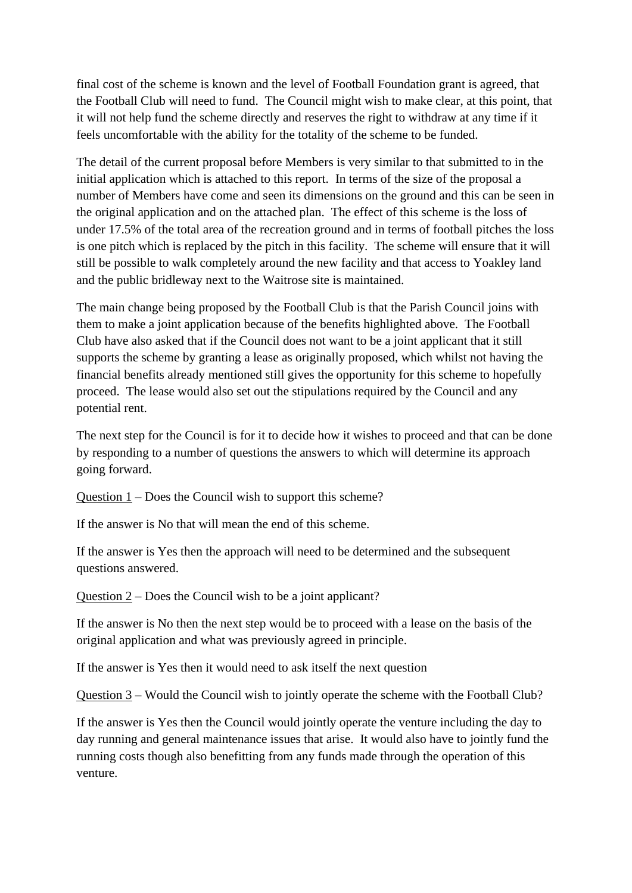final cost of the scheme is known and the level of Football Foundation grant is agreed, that the Football Club will need to fund. The Council might wish to make clear, at this point, that it will not help fund the scheme directly and reserves the right to withdraw at any time if it feels uncomfortable with the ability for the totality of the scheme to be funded.

The detail of the current proposal before Members is very similar to that submitted to in the initial application which is attached to this report. In terms of the size of the proposal a number of Members have come and seen its dimensions on the ground and this can be seen in the original application and on the attached plan. The effect of this scheme is the loss of under 17.5% of the total area of the recreation ground and in terms of football pitches the loss is one pitch which is replaced by the pitch in this facility. The scheme will ensure that it will still be possible to walk completely around the new facility and that access to Yoakley land and the public bridleway next to the Waitrose site is maintained.

The main change being proposed by the Football Club is that the Parish Council joins with them to make a joint application because of the benefits highlighted above. The Football Club have also asked that if the Council does not want to be a joint applicant that it still supports the scheme by granting a lease as originally proposed, which whilst not having the financial benefits already mentioned still gives the opportunity for this scheme to hopefully proceed. The lease would also set out the stipulations required by the Council and any potential rent.

The next step for the Council is for it to decide how it wishes to proceed and that can be done by responding to a number of questions the answers to which will determine its approach going forward.

Question 1 – Does the Council wish to support this scheme?

If the answer is No that will mean the end of this scheme.

If the answer is Yes then the approach will need to be determined and the subsequent questions answered.

Question 2 – Does the Council wish to be a joint applicant?

If the answer is No then the next step would be to proceed with a lease on the basis of the original application and what was previously agreed in principle.

If the answer is Yes then it would need to ask itself the next question

Question 3 – Would the Council wish to jointly operate the scheme with the Football Club?

If the answer is Yes then the Council would jointly operate the venture including the day to day running and general maintenance issues that arise. It would also have to jointly fund the running costs though also benefitting from any funds made through the operation of this venture.